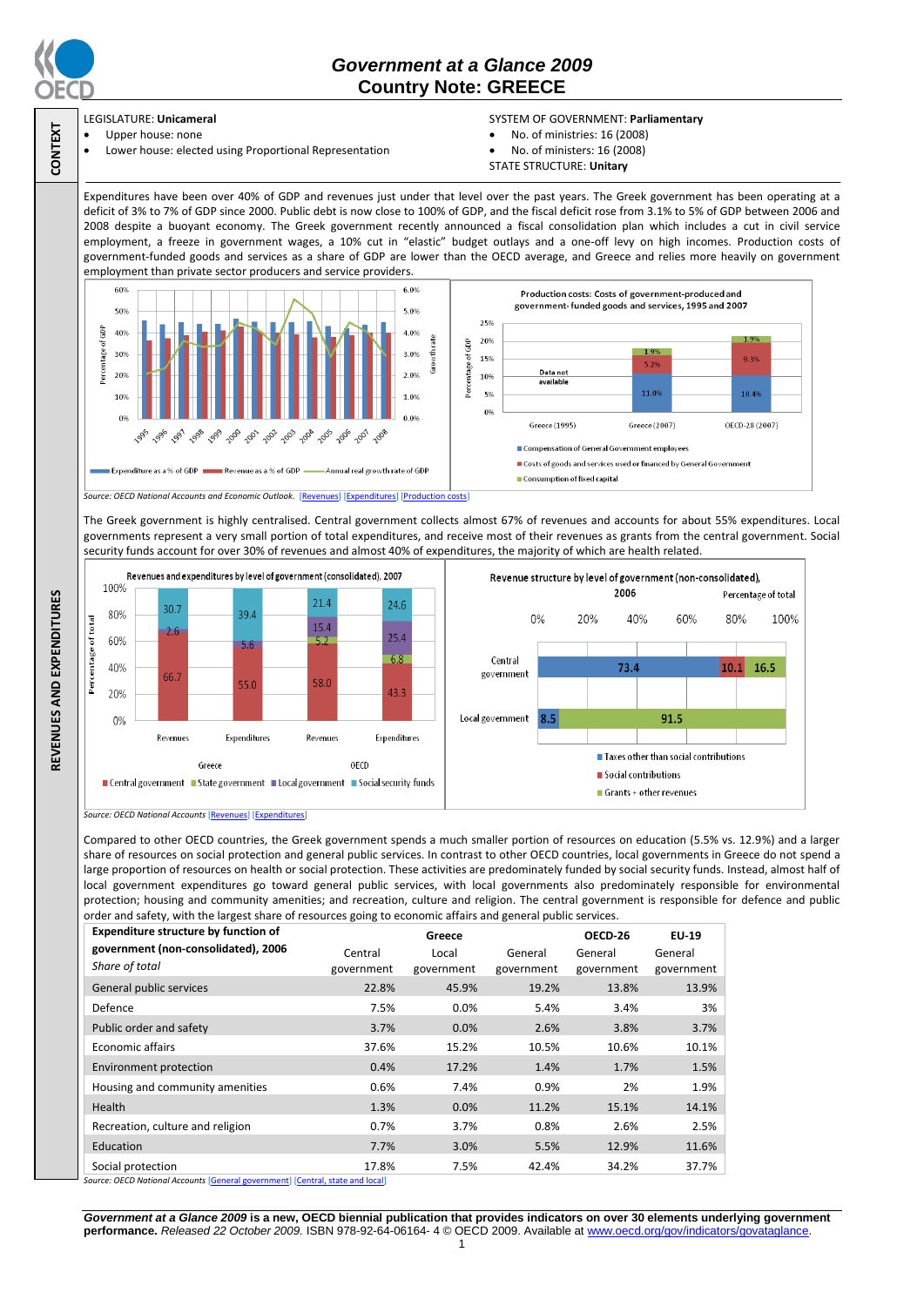

**CONTEXT**

**REVENUES AND EXPENDITURES**

REVENUES AND EXPENDITURES

# *Government at a Glance 2009*  **Country Note: GREECE**

#### LEGISLATURE: **Unicameral** Upper house: none

Lower house: elected using Proportional Representation

### SYSTEM OF GOVERNMENT: **Parliamentary**

- No. of ministries: 16 (2008)
- No. of ministers: 16 (2008)
- STATE STRUCTURE: **Unitary**

Expenditures have been over 40% of GDP and revenues just under that level over the past years. The Greek government has been operating at a deficit of 3% to 7% of GDP since 2000. Public debt is now close to 100% of GDP, and the fiscal deficit rose from 3.1% to 5% of GDP between 2006 and 2008 despite a buoyant economy. The Greek government recently announced a fiscal consolidation plan which includes a cut in civil service employment, a freeze in government wages, a 10% cut in "elastic" budget outlays and a one-off levy on high incomes. Production costs of government-funded goods and services as a share of GDP are lower than the OECD average, and Greece and relies more heavily on government employment than private sector producers and service providers.



The Greek government is highly centralised. Central government collects almost 67% of revenues and accounts for about 55% expenditures. Local governments represent a very small portion of total expenditures, and receive most of their revenues as grants from the central government. Social security funds account for over 30% of revenues and almost 40% of expenditures, the majority of which are health related.



*Source: OECD National Accounts* [\[Revenues\]](http://dx.doi.org/10.1787/723418413857) [\[Expenditures\]](http://dx.doi.org/10.1787/723508524025)

Compared to other OECD countries, the Greek government spends a much smaller portion of resources on education (5.5% vs. 12.9%) and a larger share of resources on social protection and general public services. In contrast to other OECD countries, local governments in Greece do not spend a large proportion of resources on health or social protection. These activities are predominately funded by social security funds. Instead, almost half of local government expenditures go toward general public services, with local governments also predominately responsible for environmental protection; housing and community amenities; and recreation, culture and religion. The central government is responsible for defence and public order and safety, with the largest share of resources going to economic affairs and general public services.

| <b>Expenditure structure by function of</b> | Greece     |            |            | OECD-26    | <b>EU-19</b> |
|---------------------------------------------|------------|------------|------------|------------|--------------|
| government (non-consolidated), 2006         | Central    | Local      | General    | General    | General      |
| Share of total                              | government | government | government | government | government   |
| General public services                     | 22.8%      | 45.9%      | 19.2%      | 13.8%      | 13.9%        |
| Defence                                     | 7.5%       | $0.0\%$    | 5.4%       | 3.4%       | 3%           |
| Public order and safety                     | 3.7%       | 0.0%       | 2.6%       | 3.8%       | 3.7%         |
| <b>Economic affairs</b>                     | 37.6%      | 15.2%      | 10.5%      | 10.6%      | 10.1%        |
| <b>Environment protection</b>               | 0.4%       | 17.2%      | 1.4%       | 1.7%       | 1.5%         |
| Housing and community amenities             | 0.6%       | 7.4%       | 0.9%       | 2%         | 1.9%         |
| Health                                      | 1.3%       | 0.0%       | 11.2%      | 15.1%      | 14.1%        |
| Recreation, culture and religion            | 0.7%       | 3.7%       | 0.8%       | 2.6%       | 2.5%         |
| Education                                   | 7.7%       | 3.0%       | 5.5%       | 12.9%      | 11.6%        |
| Social protection                           | 17.8%      | 7.5%       | 42.4%      | 34.2%      | 37.7%        |

*Source: OECD National Accounts* [\[General government\]](http://dx.doi.org/10.1787/723501646741) [\[Central, state and local\]](http://dx.doi.org/10.1787/723508524025)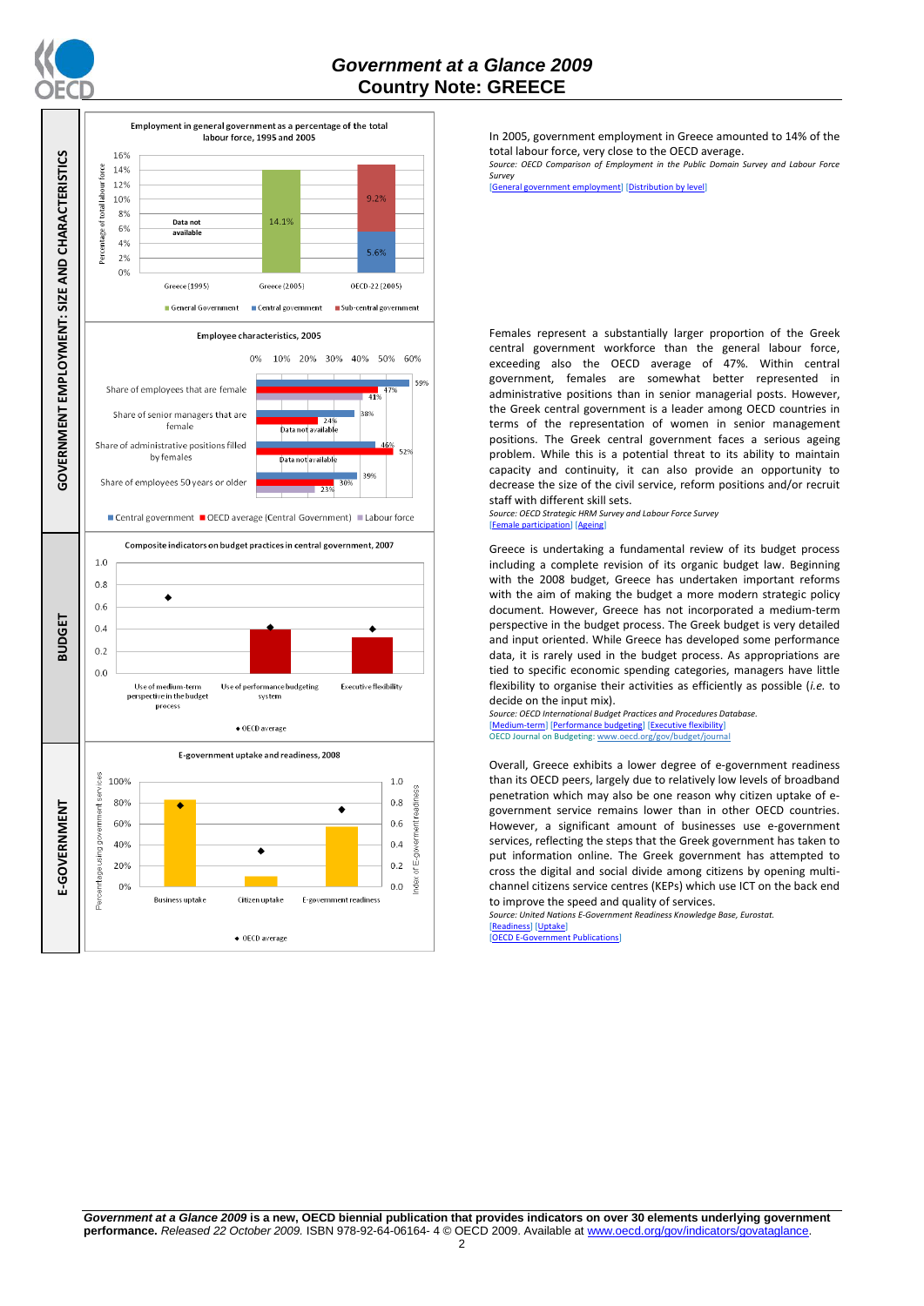



In 2005, government employment in Greece amounted to 14% of the total labour force, very close to the OECD average.

*Source: OECD Comparison of Employment in the Public Domain Survey and Labour Force Survey*

[\[General government](http://dx.doi.org/10.1787/723622503117) employment] [\[Distribution by level\]](http://dx.doi.org/10.1787/723627140760)

Females represent a substantially larger proportion of the Greek central government workforce than the general labour force, exceeding also the OECD average of 47%. Within central government, females are somewhat better represented in administrative positions than in senior managerial posts. However, the Greek central government is a leader among OECD countries in terms of the representation of women in senior management positions. The Greek central government faces a serious ageing problem. While this is a potential threat to its ability to maintain capacity and continuity, it can also provide an opportunity to decrease the size of the civil service, reform positions and/or recruit staff with different skill sets.

*Source: OECD Strategic HRM Survey and Labour Force Survey* [\[Female participation\]](http://dx.doi.org/10.1787/723642841533) [\[Ageing\]](http://dx.doi.org/10.1787/723656070327)

Greece is undertaking a fundamental review of its budget process including a complete revision of its organic budget law. Beginning with the 2008 budget, Greece has undertaken important reforms with the aim of making the budget a more modern strategic policy document. However, Greece has not incorporated a medium-term perspective in the budget process. The Greek budget is very detailed and input oriented. While Greece has developed some performance data, it is rarely used in the budget process. As appropriations are tied to specific economic spending categories, managers have little flexibility to organise their activities as efficiently as possible (*i.e.* to decide on the input mix).

*Source: OECD International Budget Practices and Procedures Database.* m-term] [\[Performance budgeting\]](http://dx.doi.org/10.1787/723863437686) [\[Executive flexibility\]](http://dx.doi.org/10.1787/723876713213) OECD Journal on Budgeting[: www.oecd.org/gov/budget/journal](http://www.oecd.org/gov/budget/journal)

Overall, Greece exhibits a lower degree of e-government readiness than its OECD peers, largely due to relatively low levels of broadband penetration which may also be one reason why citizen uptake of egovernment service remains lower than in other OECD countries. However, a significant amount of businesses use e-government services, reflecting the steps that the Greek government has taken to put information online. The Greek government has attempted to cross the digital and social divide among citizens by opening multichannel citizens service centres (KEPs) which use ICT on the back end to improve the speed and quality of services.

*Source: United Nations E-Government Readiness Knowledge Base, Eurostat.* [\[Readiness\]](http://dx.doi.org/10.1787/724248078408) [\[Uptake\]](http://dx.doi.org/10.1787/724264662272)

[\[OECD E-Government Publications\]](http://www.oecd.org/document/40/0,3343,en_2649_34129_41342248_1_1_1_1,00.html)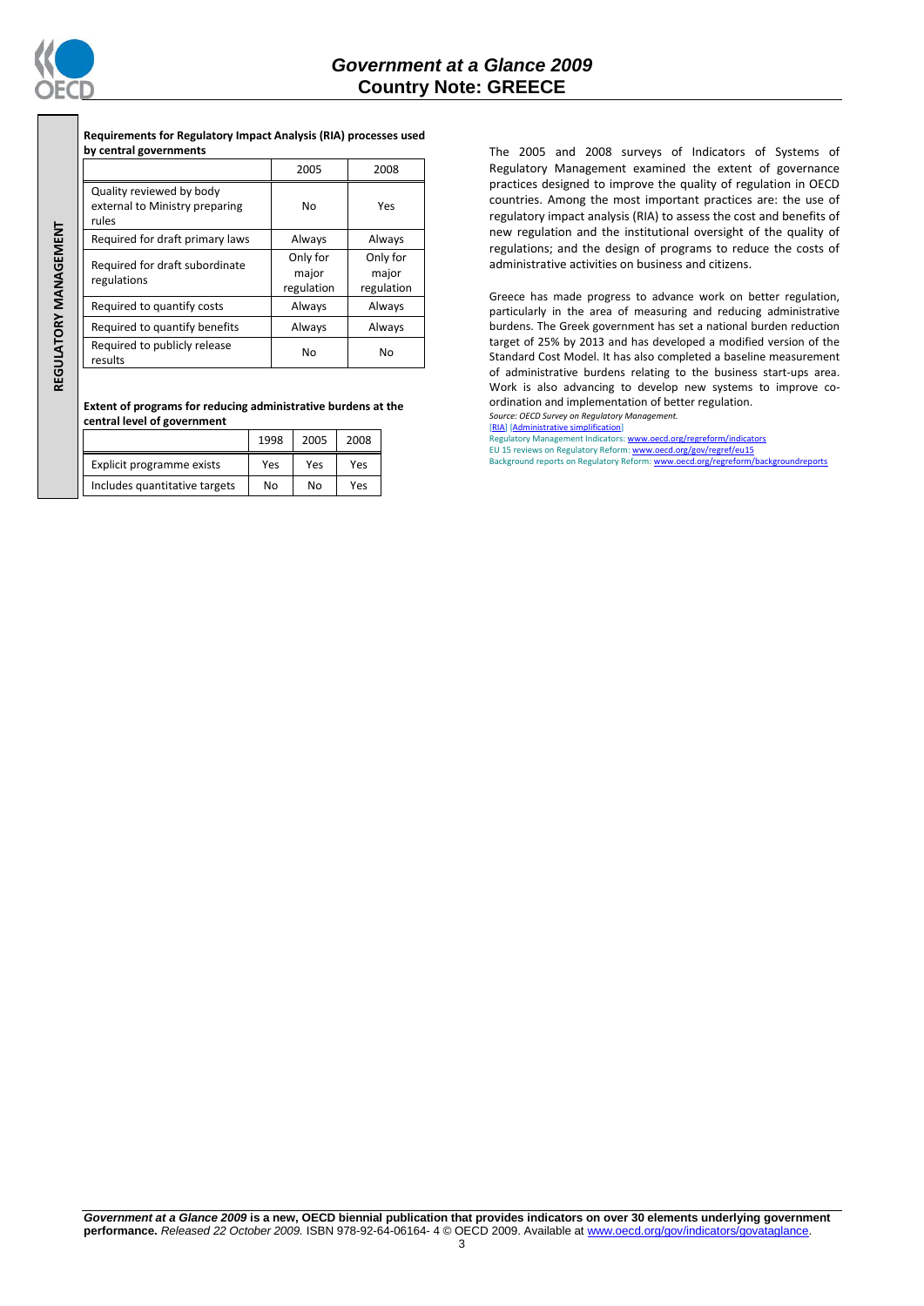

# *Government at a Glance 2009*  **Country Note: GREECE**

**Requirements for Regulatory Impact Analysis (RIA) processes used by central governments**

|                                                                     | 2005                            | 2008                            |  |
|---------------------------------------------------------------------|---------------------------------|---------------------------------|--|
| Quality reviewed by body<br>external to Ministry preparing<br>rules | No                              | Yes                             |  |
| Required for draft primary laws                                     | Always                          | Always                          |  |
| Required for draft subordinate<br>regulations                       | Only for<br>major<br>regulation | Only for<br>major<br>regulation |  |
| Required to quantify costs                                          | Always                          | Always                          |  |
| Required to quantify benefits                                       | Always                          | Always                          |  |
| Required to publicly release<br>results                             | No                              | No                              |  |

REGULATORY MANAGEMENT **REGULATORY MANAGEMENT**

> **Extent of programs for reducing administrative burdens at the central level of government**

|                               | 1998 | 2005 | 2008 |
|-------------------------------|------|------|------|
| Explicit programme exists     | Yes  | Yes  | Yes  |
| Includes quantitative targets | No   | No   | Yes  |

The 2005 and 2008 surveys of Indicators of Systems of Regulatory Management examined the extent of governance practices designed to improve the quality of regulation in OECD countries. Among the most important practices are: the use of regulatory impact analysis (RIA) to assess the cost and benefits of new regulation and the institutional oversight of the quality of regulations; and the design of programs to reduce the costs of administrative activities on business and citizens.

Greece has made progress to advance work on better regulation, particularly in the area of measuring and reducing administrative burdens. The Greek government has set a national burden reduction target of 25% by 2013 and has developed a modified version of the Standard Cost Model. It has also completed a baseline measurement of administrative burdens relating to the business start-ups area. Work is also advancing to develop new systems to improve coordination and implementation of better regulation.

*Source: OECD Survey on Regulatory Management.* [\[RIA\]](http://dx.doi.org/10.1787/724045144354) [\[Administrative simplification\]](http://dx.doi.org/10.1787/724058851054)

Regulatory Management Indicators[: www.oecd.org/regreform/indicators](http://www.oecd.org/regreform/indicators)<br>EU 15 reviews on Regulatory Reform: <u>www.oecd.org/gov/regref/eu15</u>

Background reports on Regulatory Reform[: www.oecd.org/regreform/backgroundreports](http://www.oecd.org/regreform/backgroundreports)